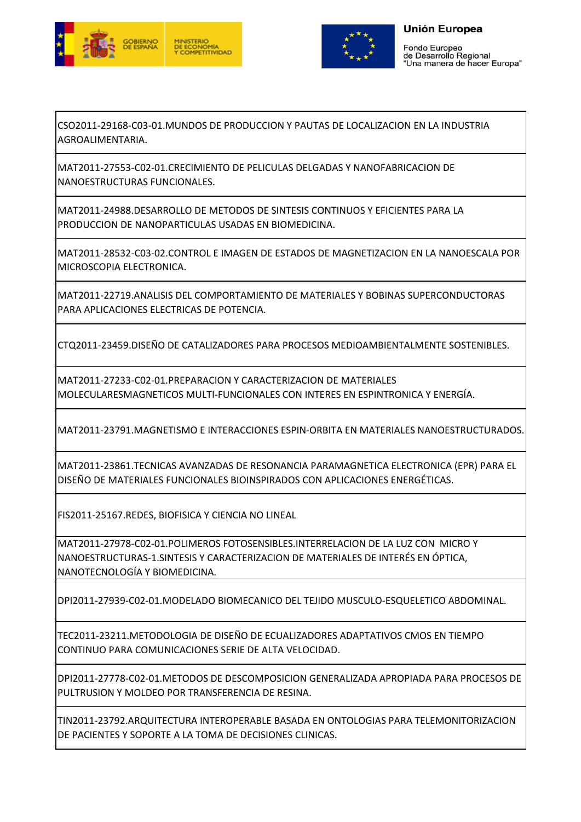



CSO2011-29168-C03-01.MUNDOS DE PRODUCCION Y PAUTAS DE LOCALIZACION EN LA INDUSTRIA AGROALIMENTARIA.

MAT2011-27553-C02-01.CRECIMIENTO DE PELICULAS DELGADAS Y NANOFABRICACION DE NANOESTRUCTURAS FUNCIONALES.

MAT2011-24988.DESARROLLO DE METODOS DE SINTESIS CONTINUOS Y EFICIENTES PARA LA PRODUCCION DE NANOPARTICULAS USADAS EN BIOMEDICINA.

MAT2011-28532-C03-02.CONTROL E IMAGEN DE ESTADOS DE MAGNETIZACION EN LA NANOESCALA POR MICROSCOPIA ELECTRONICA.

MAT2011-22719.ANALISIS DEL COMPORTAMIENTO DE MATERIALES Y BOBINAS SUPERCONDUCTORAS PARA APLICACIONES ELECTRICAS DE POTENCIA.

CTQ2011-23459.DISEÑO DE CATALIZADORES PARA PROCESOS MEDIOAMBIENTALMENTE SOSTENIBLES.

MAT2011-27233-C02-01.PREPARACION Y CARACTERIZACION DE MATERIALES MOLECULARESMAGNETICOS MULTI-FUNCIONALES CON INTERES EN ESPINTRONICA Y ENERGÍA.

MAT2011-23791.MAGNETISMO E INTERACCIONES ESPIN-ORBITA EN MATERIALES NANOESTRUCTURADOS.

MAT2011-23861.TECNICAS AVANZADAS DE RESONANCIA PARAMAGNETICA ELECTRONICA (EPR) PARA EL DISEÑO DE MATERIALES FUNCIONALES BIOINSPIRADOS CON APLICACIONES ENERGÉTICAS.

FIS2011-25167.REDES, BIOFISICA Y CIENCIA NO LINEAL

MAT2011-27978-C02-01.POLIMEROS FOTOSENSIBLES.INTERRELACION DE LA LUZ CON MICRO Y NANOESTRUCTURAS-1.SINTESIS Y CARACTERIZACION DE MATERIALES DE INTERÉS EN ÓPTICA, NANOTECNOLOGÍA Y BIOMEDICINA.

DPI2011-27939-C02-01.MODELADO BIOMECANICO DEL TEJIDO MUSCULO-ESQUELETICO ABDOMINAL.

TEC2011-23211.METODOLOGIA DE DISEÑO DE ECUALIZADORES ADAPTATIVOS CMOS EN TIEMPO CONTINUO PARA COMUNICACIONES SERIE DE ALTA VELOCIDAD.

DPI2011-27778-C02-01.METODOS DE DESCOMPOSICION GENERALIZADA APROPIADA PARA PROCESOS DE PULTRUSION Y MOLDEO POR TRANSFERENCIA DE RESINA.

TIN2011-23792.ARQUITECTURA INTEROPERABLE BASADA EN ONTOLOGIAS PARA TELEMONITORIZACION DE PACIENTES Y SOPORTE A LA TOMA DE DECISIONES CLINICAS.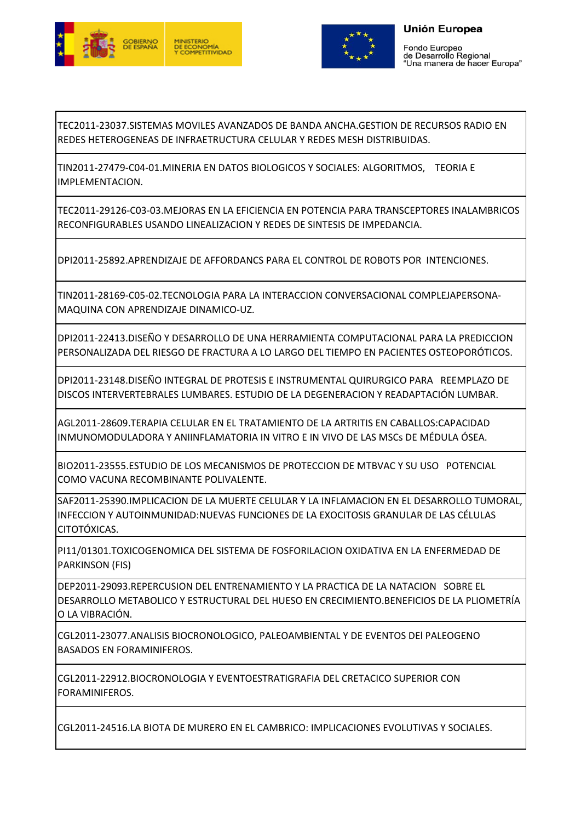



TEC2011-23037.SISTEMAS MOVILES AVANZADOS DE BANDA ANCHA.GESTION DE RECURSOS RADIO EN REDES HETEROGENEAS DE INFRAETRUCTURA CELULAR Y REDES MESH DISTRIBUIDAS.

TIN2011-27479-C04-01.MINERIA EN DATOS BIOLOGICOS Y SOCIALES: ALGORITMOS, TEORIA E IMPLEMENTACION.

TEC2011-29126-C03-03.MEJORAS EN LA EFICIENCIA EN POTENCIA PARA TRANSCEPTORES INALAMBRICOS RECONFIGURABLES USANDO LINEALIZACION Y REDES DE SINTESIS DE IMPEDANCIA.

DPI2011-25892.APRENDIZAJE DE AFFORDANCS PARA EL CONTROL DE ROBOTS POR INTENCIONES.

TIN2011-28169-C05-02.TECNOLOGIA PARA LA INTERACCION CONVERSACIONAL COMPLEJAPERSONA-MAQUINA CON APRENDIZAJE DINAMICO-UZ.

DPI2011-22413.DISEÑO Y DESARROLLO DE UNA HERRAMIENTA COMPUTACIONAL PARA LA PREDICCION PERSONALIZADA DEL RIESGO DE FRACTURA A LO LARGO DEL TIEMPO EN PACIENTES OSTEOPORÓTICOS.

DPI2011-23148.DISEÑO INTEGRAL DE PROTESIS E INSTRUMENTAL QUIRURGICO PARA REEMPLAZO DE DISCOS INTERVERTEBRALES LUMBARES. ESTUDIO DE LA DEGENERACION Y READAPTACIÓN LUMBAR.

AGL2011-28609.TERAPIA CELULAR EN EL TRATAMIENTO DE LA ARTRITIS EN CABALLOS:CAPACIDAD INMUNOMODULADORA Y ANIINFLAMATORIA IN VITRO E IN VIVO DE LAS MSCs DE MÉDULA ÓSEA.

BIO2011-23555.ESTUDIO DE LOS MECANISMOS DE PROTECCION DE MTBVAC Y SU USO POTENCIAL COMO VACUNA RECOMBINANTE POLIVALENTE.

SAF2011-25390.IMPLICACION DE LA MUERTE CELULAR Y LA INFLAMACION EN EL DESARROLLO TUMORAL, INFECCION Y AUTOINMUNIDAD:NUEVAS FUNCIONES DE LA EXOCITOSIS GRANULAR DE LAS CÉLULAS CITOTÓXICAS.

PI11/01301.TOXICOGENOMICA DEL SISTEMA DE FOSFORILACION OXIDATIVA EN LA ENFERMEDAD DE PARKINSON (FIS)

DEP2011-29093.REPERCUSION DEL ENTRENAMIENTO Y LA PRACTICA DE LA NATACION SOBRE EL DESARROLLO METABOLICO Y ESTRUCTURAL DEL HUESO EN CRECIMIENTO.BENEFICIOS DE LA PLIOMETRÍA O LA VIBRACIÓN.

CGL2011-23077.ANALISIS BIOCRONOLOGICO, PALEOAMBIENTAL Y DE EVENTOS DEl PALEOGENO BASADOS EN FORAMINIFEROS.

CGL2011-22912.BIOCRONOLOGIA Y EVENTOESTRATIGRAFIA DEL CRETACICO SUPERIOR CON FORAMINIFEROS.

CGL2011-24516.LA BIOTA DE MURERO EN EL CAMBRICO: IMPLICACIONES EVOLUTIVAS Y SOCIALES.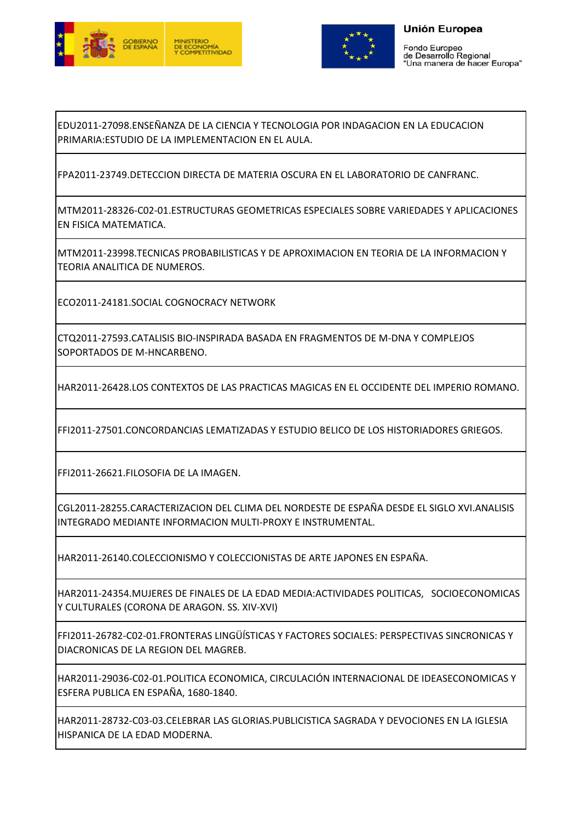



EDU2011-27098.ENSEÑANZA DE LA CIENCIA Y TECNOLOGIA POR INDAGACION EN LA EDUCACION PRIMARIA:ESTUDIO DE LA IMPLEMENTACION EN EL AULA.

FPA2011-23749.DETECCION DIRECTA DE MATERIA OSCURA EN EL LABORATORIO DE CANFRANC.

MTM2011-28326-C02-01.ESTRUCTURAS GEOMETRICAS ESPECIALES SOBRE VARIEDADES Y APLICACIONES EN FISICA MATEMATICA.

MTM2011-23998.TECNICAS PROBABILISTICAS Y DE APROXIMACION EN TEORIA DE LA INFORMACION Y TEORIA ANALITICA DE NUMEROS.

ECO2011-24181.SOCIAL COGNOCRACY NETWORK

CTQ2011-27593.CATALISIS BIO-INSPIRADA BASADA EN FRAGMENTOS DE M-DNA Y COMPLEJOS SOPORTADOS DE M-HNCARBENO.

HAR2011-26428.LOS CONTEXTOS DE LAS PRACTICAS MAGICAS EN EL OCCIDENTE DEL IMPERIO ROMANO.

FFI2011-27501.CONCORDANCIAS LEMATIZADAS Y ESTUDIO BELICO DE LOS HISTORIADORES GRIEGOS.

FFI2011-26621.FILOSOFIA DE LA IMAGEN.

CGL2011-28255.CARACTERIZACION DEL CLIMA DEL NORDESTE DE ESPAÑA DESDE EL SIGLO XVI.ANALISIS INTEGRADO MEDIANTE INFORMACION MULTI-PROXY E INSTRUMENTAL.

HAR2011-26140.COLECCIONISMO Y COLECCIONISTAS DE ARTE JAPONES EN ESPAÑA.

HAR2011-24354.MUJERES DE FINALES DE LA EDAD MEDIA:ACTIVIDADES POLITICAS, SOCIOECONOMICAS Y CULTURALES (CORONA DE ARAGON. SS. XIV-XVI)

FFI2011-26782-C02-01.FRONTERAS LINGÜÍSTICAS Y FACTORES SOCIALES: PERSPECTIVAS SINCRONICAS Y DIACRONICAS DE LA REGION DEL MAGREB.

HAR2011-29036-C02-01.POLITICA ECONOMICA, CIRCULACIÓN INTERNACIONAL DE IDEASECONOMICAS Y ESFERA PUBLICA EN ESPAÑA, 1680-1840.

HAR2011-28732-C03-03.CELEBRAR LAS GLORIAS.PUBLICISTICA SAGRADA Y DEVOCIONES EN LA IGLESIA HISPANICA DE LA EDAD MODERNA.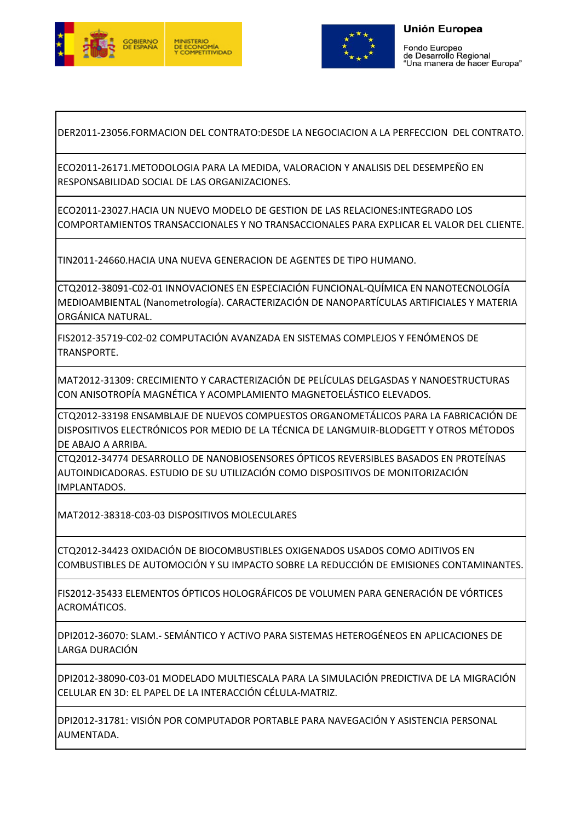



DER2011-23056.FORMACION DEL CONTRATO:DESDE LA NEGOCIACION A LA PERFECCION DEL CONTRATO.

ECO2011-26171.METODOLOGIA PARA LA MEDIDA, VALORACION Y ANALISIS DEL DESEMPEÑO EN RESPONSABILIDAD SOCIAL DE LAS ORGANIZACIONES.

ECO2011-23027.HACIA UN NUEVO MODELO DE GESTION DE LAS RELACIONES:INTEGRADO LOS COMPORTAMIENTOS TRANSACCIONALES Y NO TRANSACCIONALES PARA EXPLICAR EL VALOR DEL CLIENTE.

TIN2011-24660.HACIA UNA NUEVA GENERACION DE AGENTES DE TIPO HUMANO.

CTQ2012-38091-C02-01 INNOVACIONES EN ESPECIACIÓN FUNCIONAL-QUÍMICA EN NANOTECNOLOGÍA MEDIOAMBIENTAL (Nanometrología). CARACTERIZACIÓN DE NANOPARTÍCULAS ARTIFICIALES Y MATERIA ORGÁNICA NATURAL.

FIS2012-35719-C02-02 COMPUTACIÓN AVANZADA EN SISTEMAS COMPLEJOS Y FENÓMENOS DE TRANSPORTE.

MAT2012-31309: CRECIMIENTO Y CARACTERIZACIÓN DE PELÍCULAS DELGASDAS Y NANOESTRUCTURAS CON ANISOTROPÍA MAGNÉTICA Y ACOMPLAMIENTO MAGNETOELÁSTICO ELEVADOS.

CTQ2012-33198 ENSAMBLAJE DE NUEVOS COMPUESTOS ORGANOMETÁLICOS PARA LA FABRICACIÓN DE DISPOSITIVOS ELECTRÓNICOS POR MEDIO DE LA TÉCNICA DE LANGMUIR-BLODGETT Y OTROS MÉTODOS DE ABAJO A ARRIBA.

CTQ2012-34774 DESARROLLO DE NANOBIOSENSORES ÓPTICOS REVERSIBLES BASADOS EN PROTEÍNAS AUTOINDICADORAS. ESTUDIO DE SU UTILIZACIÓN COMO DISPOSITIVOS DE MONITORIZACIÓN IMPLANTADOS.

MAT2012-38318-C03-03 DISPOSITIVOS MOLECULARES

CTQ2012-34423 OXIDACIÓN DE BIOCOMBUSTIBLES OXIGENADOS USADOS COMO ADITIVOS EN COMBUSTIBLES DE AUTOMOCIÓN Y SU IMPACTO SOBRE LA REDUCCIÓN DE EMISIONES CONTAMINANTES.

FIS2012-35433 ELEMENTOS ÓPTICOS HOLOGRÁFICOS DE VOLUMEN PARA GENERACIÓN DE VÓRTICES ACROMÁTICOS.

DPI2012-36070: SLAM.- SEMÁNTICO Y ACTIVO PARA SISTEMAS HETEROGÉNEOS EN APLICACIONES DE LARGA DURACIÓN

DPI2012-38090-C03-01 MODELADO MULTIESCALA PARA LA SIMULACIÓN PREDICTIVA DE LA MIGRACIÓN CELULAR EN 3D: EL PAPEL DE LA INTERACCIÓN CÉLULA-MATRIZ.

DPI2012-31781: VISIÓN POR COMPUTADOR PORTABLE PARA NAVEGACIÓN Y ASISTENCIA PERSONAL AUMENTADA.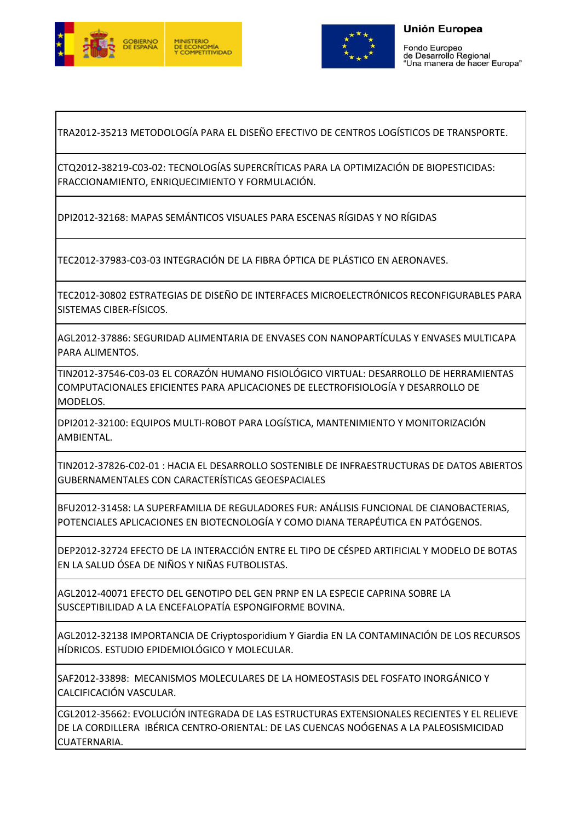



TRA2012-35213 METODOLOGÍA PARA EL DISEÑO EFECTIVO DE CENTROS LOGÍSTICOS DE TRANSPORTE.

CTQ2012-38219-C03-02: TECNOLOGÍAS SUPERCRÍTICAS PARA LA OPTIMIZACIÓN DE BIOPESTICIDAS: FRACCIONAMIENTO, ENRIQUECIMIENTO Y FORMULACIÓN.

DPI2012-32168: MAPAS SEMÁNTICOS VISUALES PARA ESCENAS RÍGIDAS Y NO RÍGIDAS

TEC2012-37983-C03-03 INTEGRACIÓN DE LA FIBRA ÓPTICA DE PLÁSTICO EN AERONAVES.

TEC2012-30802 ESTRATEGIAS DE DISEÑO DE INTERFACES MICROELECTRÓNICOS RECONFIGURABLES PARA SISTEMAS CIBER-FÍSICOS.

AGL2012-37886: SEGURIDAD ALIMENTARIA DE ENVASES CON NANOPARTÍCULAS Y ENVASES MULTICAPA PARA ALIMENTOS.

TIN2012-37546-C03-03 EL CORAZÓN HUMANO FISIOLÓGICO VIRTUAL: DESARROLLO DE HERRAMIENTAS COMPUTACIONALES EFICIENTES PARA APLICACIONES DE ELECTROFISIOLOGÍA Y DESARROLLO DE MODELOS.

DPI2012-32100: EQUIPOS MULTI-ROBOT PARA LOGÍSTICA, MANTENIMIENTO Y MONITORIZACIÓN AMBIENTAL.

TIN2012-37826-C02-01 : HACIA EL DESARROLLO SOSTENIBLE DE INFRAESTRUCTURAS DE DATOS ABIERTOS GUBERNAMENTALES CON CARACTERÍSTICAS GEOESPACIALES

BFU2012-31458: LA SUPERFAMILIA DE REGULADORES FUR: ANÁLISIS FUNCIONAL DE CIANOBACTERIAS, POTENCIALES APLICACIONES EN BIOTECNOLOGÍA Y COMO DIANA TERAPÉUTICA EN PATÓGENOS.

DEP2012-32724 EFECTO DE LA INTERACCIÓN ENTRE EL TIPO DE CÉSPED ARTIFICIAL Y MODELO DE BOTAS EN LA SALUD ÓSEA DE NIÑOS Y NIÑAS FUTBOLISTAS.

AGL2012-40071 EFECTO DEL GENOTIPO DEL GEN PRNP EN LA ESPECIE CAPRINA SOBRE LA SUSCEPTIBILIDAD A LA ENCEFALOPATÍA ESPONGIFORME BOVINA.

AGL2012-32138 IMPORTANCIA DE Criyptosporidium Y Giardia EN LA CONTAMINACIÓN DE LOS RECURSOS HÍDRICOS. ESTUDIO EPIDEMIOLÓGICO Y MOLECULAR.

SAF2012-33898: MECANISMOS MOLECULARES DE LA HOMEOSTASIS DEL FOSFATO INORGÁNICO Y CALCIFICACIÓN VASCULAR.

CGL2012-35662: EVOLUCIÓN INTEGRADA DE LAS ESTRUCTURAS EXTENSIONALES RECIENTES Y EL RELIEVE DE LA CORDILLERA IBÉRICA CENTRO-ORIENTAL: DE LAS CUENCAS NOÓGENAS A LA PALEOSISMICIDAD CUATERNARIA.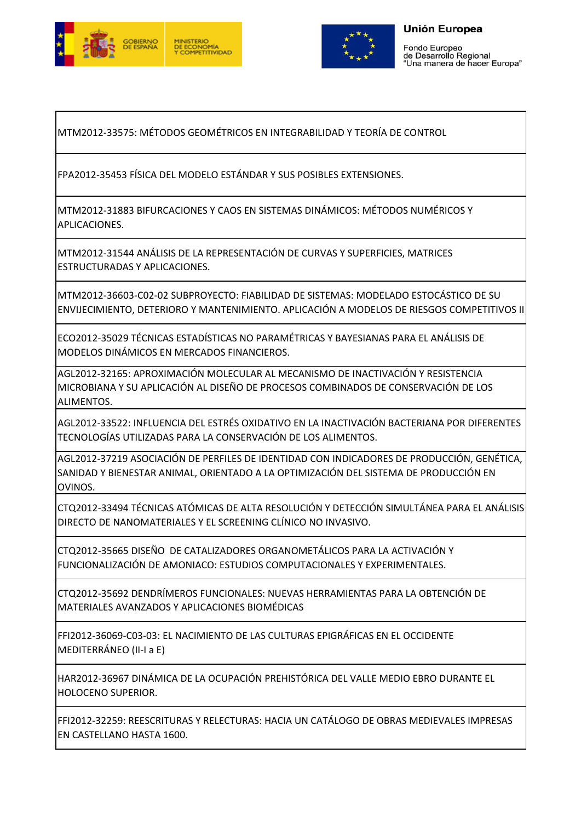



MTM2012-33575: MÉTODOS GEOMÉTRICOS EN INTEGRABILIDAD Y TEORÍA DE CONTROL

FPA2012-35453 FÍSICA DEL MODELO ESTÁNDAR Y SUS POSIBLES EXTENSIONES.

MTM2012-31883 BIFURCACIONES Y CAOS EN SISTEMAS DINÁMICOS: MÉTODOS NUMÉRICOS Y APLICACIONES.

MTM2012-31544 ANÁLISIS DE LA REPRESENTACIÓN DE CURVAS Y SUPERFICIES, MATRICES ESTRUCTURADAS Y APLICACIONES.

MTM2012-36603-C02-02 SUBPROYECTO: FIABILIDAD DE SISTEMAS: MODELADO ESTOCÁSTICO DE SU ENVIJECIMIENTO, DETERIORO Y MANTENIMIENTO. APLICACIÓN A MODELOS DE RIESGOS COMPETITIVOS II

ECO2012-35029 TÉCNICAS ESTADÍSTICAS NO PARAMÉTRICAS Y BAYESIANAS PARA EL ANÁLISIS DE MODELOS DINÁMICOS EN MERCADOS FINANCIEROS.

AGL2012-32165: APROXIMACIÓN MOLECULAR AL MECANISMO DE INACTIVACIÓN Y RESISTENCIA MICROBIANA Y SU APLICACIÓN AL DISEÑO DE PROCESOS COMBINADOS DE CONSERVACIÓN DE LOS ALIMENTOS.

AGL2012-33522: INFLUENCIA DEL ESTRÉS OXIDATIVO EN LA INACTIVACIÓN BACTERIANA POR DIFERENTES TECNOLOGÍAS UTILIZADAS PARA LA CONSERVACIÓN DE LOS ALIMENTOS.

AGL2012-37219 ASOCIACIÓN DE PERFILES DE IDENTIDAD CON INDICADORES DE PRODUCCIÓN, GENÉTICA, SANIDAD Y BIENESTAR ANIMAL, ORIENTADO A LA OPTIMIZACIÓN DEL SISTEMA DE PRODUCCIÓN EN OVINOS.

CTQ2012-33494 TÉCNICAS ATÓMICAS DE ALTA RESOLUCIÓN Y DETECCIÓN SIMULTÁNEA PARA EL ANÁLISIS DIRECTO DE NANOMATERIALES Y EL SCREENING CLÍNICO NO INVASIVO.

CTQ2012-35665 DISEÑO DE CATALIZADORES ORGANOMETÁLICOS PARA LA ACTIVACIÓN Y FUNCIONALIZACIÓN DE AMONIACO: ESTUDIOS COMPUTACIONALES Y EXPERIMENTALES.

CTQ2012-35692 DENDRÍMEROS FUNCIONALES: NUEVAS HERRAMIENTAS PARA LA OBTENCIÓN DE MATERIALES AVANZADOS Y APLICACIONES BIOMÉDICAS

FFI2012-36069-C03-03: EL NACIMIENTO DE LAS CULTURAS EPIGRÁFICAS EN EL OCCIDENTE MEDITERRÁNEO (II-I a E)

HAR2012-36967 DINÁMICA DE LA OCUPACIÓN PREHISTÓRICA DEL VALLE MEDIO EBRO DURANTE EL HOLOCENO SUPERIOR.

FFI2012-32259: REESCRITURAS Y RELECTURAS: HACIA UN CATÁLOGO DE OBRAS MEDIEVALES IMPRESAS EN CASTELLANO HASTA 1600.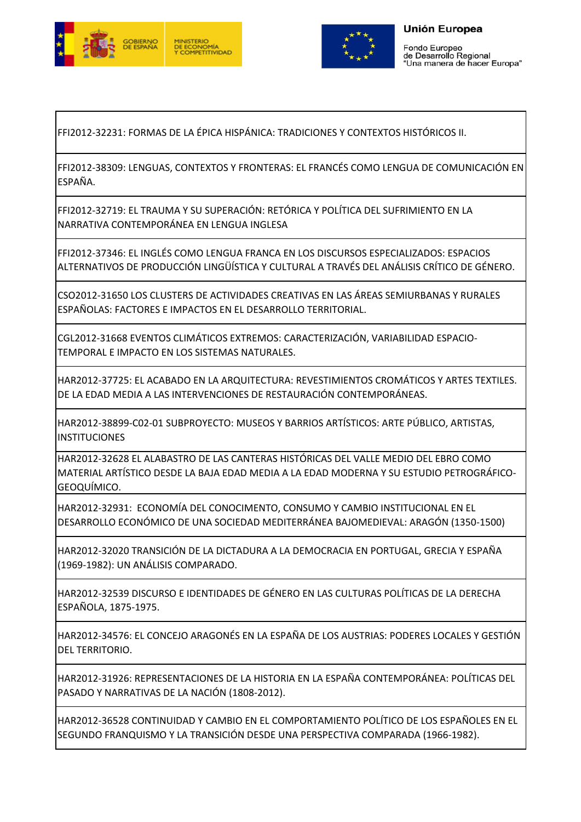



FFI2012-32231: FORMAS DE LA ÉPICA HISPÁNICA: TRADICIONES Y CONTEXTOS HISTÓRICOS II.

FFI2012-38309: LENGUAS, CONTEXTOS Y FRONTERAS: EL FRANCÉS COMO LENGUA DE COMUNICACIÓN EN ESPAÑA.

FFI2012-32719: EL TRAUMA Y SU SUPERACIÓN: RETÓRICA Y POLÍTICA DEL SUFRIMIENTO EN LA NARRATIVA CONTEMPORÁNEA EN LENGUA INGLESA

FFI2012-37346: EL INGLÉS COMO LENGUA FRANCA EN LOS DISCURSOS ESPECIALIZADOS: ESPACIOS ALTERNATIVOS DE PRODUCCIÓN LINGÜÍSTICA Y CULTURAL A TRAVÉS DEL ANÁLISIS CRÍTICO DE GÉNERO.

CSO2012-31650 LOS CLUSTERS DE ACTIVIDADES CREATIVAS EN LAS ÁREAS SEMIURBANAS Y RURALES ESPAÑOLAS: FACTORES E IMPACTOS EN EL DESARROLLO TERRITORIAL.

CGL2012-31668 EVENTOS CLIMÁTICOS EXTREMOS: CARACTERIZACIÓN, VARIABILIDAD ESPACIO-TEMPORAL E IMPACTO EN LOS SISTEMAS NATURALES.

HAR2012-37725: EL ACABADO EN LA ARQUITECTURA: REVESTIMIENTOS CROMÁTICOS Y ARTES TEXTILES. DE LA EDAD MEDIA A LAS INTERVENCIONES DE RESTAURACIÓN CONTEMPORÁNEAS.

HAR2012-38899-C02-01 SUBPROYECTO: MUSEOS Y BARRIOS ARTÍSTICOS: ARTE PÚBLICO, ARTISTAS, **INSTITUCIONES** 

HAR2012-32628 EL ALABASTRO DE LAS CANTERAS HISTÓRICAS DEL VALLE MEDIO DEL EBRO COMO MATERIAL ARTÍSTICO DESDE LA BAJA EDAD MEDIA A LA EDAD MODERNA Y SU ESTUDIO PETROGRÁFICO-GEOQUÍMICO.

HAR2012-32931: ECONOMÍA DEL CONOCIMENTO, CONSUMO Y CAMBIO INSTITUCIONAL EN EL DESARROLLO ECONÓMICO DE UNA SOCIEDAD MEDITERRÁNEA BAJOMEDIEVAL: ARAGÓN (1350-1500)

HAR2012-32020 TRANSICIÓN DE LA DICTADURA A LA DEMOCRACIA EN PORTUGAL, GRECIA Y ESPAÑA (1969-1982): UN ANÁLISIS COMPARADO.

HAR2012-32539 DISCURSO E IDENTIDADES DE GÉNERO EN LAS CULTURAS POLÍTICAS DE LA DERECHA ESPAÑOLA, 1875-1975.

HAR2012-34576: EL CONCEJO ARAGONÉS EN LA ESPAÑA DE LOS AUSTRIAS: PODERES LOCALES Y GESTIÓN DEL TERRITORIO.

HAR2012-31926: REPRESENTACIONES DE LA HISTORIA EN LA ESPAÑA CONTEMPORÁNEA: POLÍTICAS DEL PASADO Y NARRATIVAS DE LA NACIÓN (1808-2012).

HAR2012-36528 CONTINUIDAD Y CAMBIO EN EL COMPORTAMIENTO POLÍTICO DE LOS ESPAÑOLES EN EL SEGUNDO FRANQUISMO Y LA TRANSICIÓN DESDE UNA PERSPECTIVA COMPARADA (1966-1982).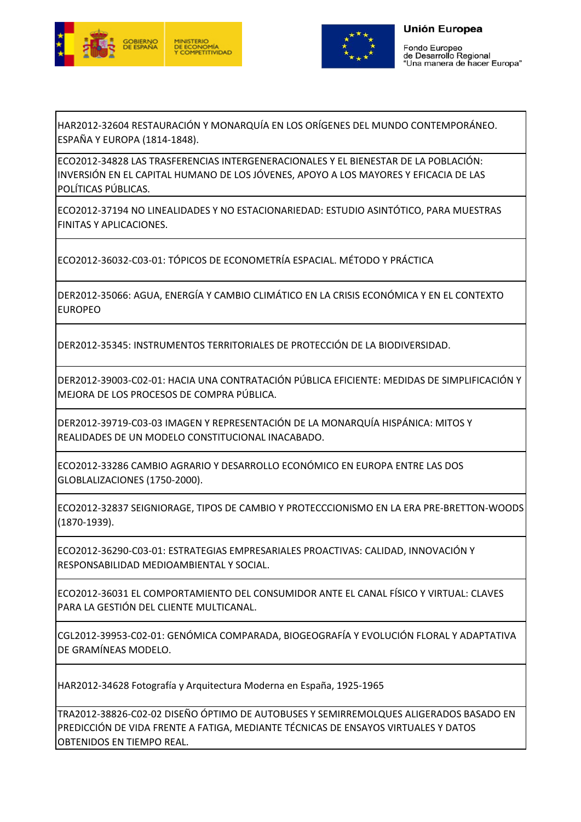



HAR2012-32604 RESTAURACIÓN Y MONARQUÍA EN LOS ORÍGENES DEL MUNDO CONTEMPORÁNEO. ESPAÑA Y EUROPA (1814-1848).

ECO2012-34828 LAS TRASFERENCIAS INTERGENERACIONALES Y EL BIENESTAR DE LA POBLACIÓN: INVERSIÓN EN EL CAPITAL HUMANO DE LOS JÓVENES, APOYO A LOS MAYORES Y EFICACIA DE LAS POLÍTICAS PÚBLICAS.

ECO2012-37194 NO LINEALIDADES Y NO ESTACIONARIEDAD: ESTUDIO ASINTÓTICO, PARA MUESTRAS FINITAS Y APLICACIONES.

ECO2012-36032-C03-01: TÓPICOS DE ECONOMETRÍA ESPACIAL. MÉTODO Y PRÁCTICA

DER2012-35066: AGUA, ENERGÍA Y CAMBIO CLIMÁTICO EN LA CRISIS ECONÓMICA Y EN EL CONTEXTO EUROPEO

DER2012-35345: INSTRUMENTOS TERRITORIALES DE PROTECCIÓN DE LA BIODIVERSIDAD.

DER2012-39003-C02-01: HACIA UNA CONTRATACIÓN PÚBLICA EFICIENTE: MEDIDAS DE SIMPLIFICACIÓN Y MEJORA DE LOS PROCESOS DE COMPRA PÚBLICA.

DER2012-39719-C03-03 IMAGEN Y REPRESENTACIÓN DE LA MONARQUÍA HISPÁNICA: MITOS Y REALIDADES DE UN MODELO CONSTITUCIONAL INACABADO.

ECO2012-33286 CAMBIO AGRARIO Y DESARROLLO ECONÓMICO EN EUROPA ENTRE LAS DOS GLOBLALIZACIONES (1750-2000).

ECO2012-32837 SEIGNIORAGE, TIPOS DE CAMBIO Y PROTECCCIONISMO EN LA ERA PRE-BRETTON-WOODS (1870-1939).

ECO2012-36290-C03-01: ESTRATEGIAS EMPRESARIALES PROACTIVAS: CALIDAD, INNOVACIÓN Y RESPONSABILIDAD MEDIOAMBIENTAL Y SOCIAL.

ECO2012-36031 EL COMPORTAMIENTO DEL CONSUMIDOR ANTE EL CANAL FÍSICO Y VIRTUAL: CLAVES PARA LA GESTIÓN DEL CLIENTE MULTICANAL.

CGL2012-39953-C02-01: GENÓMICA COMPARADA, BIOGEOGRAFÍA Y EVOLUCIÓN FLORAL Y ADAPTATIVA DE GRAMÍNEAS MODELO.

HAR2012-34628 Fotografía y Arquitectura Moderna en España, 1925-1965

TRA2012-38826-C02-02 DISEÑO ÓPTIMO DE AUTOBUSES Y SEMIRREMOLQUES ALIGERADOS BASADO EN PREDICCIÓN DE VIDA FRENTE A FATIGA, MEDIANTE TÉCNICAS DE ENSAYOS VIRTUALES Y DATOS OBTENIDOS EN TIEMPO REAL.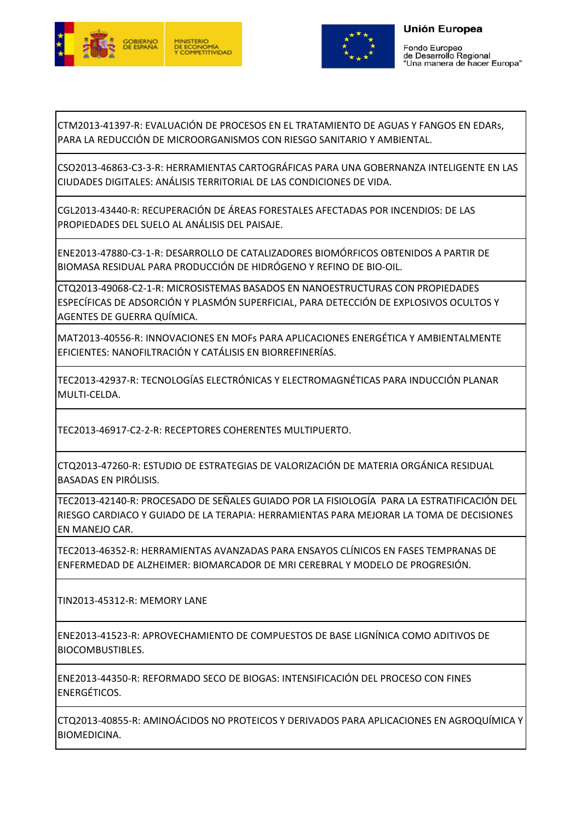



CTM2013-41397-R: EVALUACIÓN DE PROCESOS EN EL TRATAMIENTO DE AGUAS Y FANGOS EN EDARs, PARA LA REDUCCIÓN DE MICROORGANISMOS CON RIESGO SANITARIO Y AMBIENTAL.

CSO2013-46863-C3-3-R: HERRAMIENTAS CARTOGRÁFICAS PARA UNA GOBERNANZA INTELIGENTE EN LAS CIUDADES DIGITALES: ANÁLISIS TERRITORIAL DE LAS CONDICIONES DE VIDA.

CGL2013-43440-R: RECUPERACIÓN DE ÁREAS FORESTALES AFECTADAS POR INCENDIOS: DE LAS PROPIEDADES DEL SUELO AL ANÁLISIS DEL PAISAJE.

ENE2013-47880-C3-1-R: DESARROLLO DE CATALIZADORES BIOMÓRFICOS OBTENIDOS A PARTIR DE BIOMASA RESIDUAL PARA PRODUCCIÓN DE HIDRÓGENO Y REFINO DE BIO-OIL.

CTQ2013-49068-C2-1-R: MICROSISTEMAS BASADOS EN NANOESTRUCTURAS CON PROPIEDADES ESPECÍFICAS DE ADSORCIÓN Y PLASMÓN SUPERFICIAL, PARA DETECCIÓN DE EXPLOSIVOS OCULTOS Y AGENTES DE GUERRA QUÍMICA.

MAT2013-40556-R: INNOVACIONES EN MOFs PARA APLICACIONES ENERGÉTICA Y AMBIENTALMENTE EFICIENTES: NANOFILTRACIÓN Y CATÁLISIS EN BIORREFINERÍAS.

TEC2013-42937-R: TECNOLOGÍAS ELECTRÓNICAS Y ELECTROMAGNÉTICAS PARA INDUCCIÓN PLANAR MULTI-CELDA.

TEC2013-46917-C2-2-R: RECEPTORES COHERENTES MULTIPUERTO.

CTQ2013-47260-R: ESTUDIO DE ESTRATEGIAS DE VALORIZACIÓN DE MATERIA ORGÁNICA RESIDUAL BASADAS EN PIRÓLISIS.

TEC2013-42140-R: PROCESADO DE SEÑALES GUIADO POR LA FISIOLOGÍA PARA LA ESTRATIFICACIÓN DEL RIESGO CARDIACO Y GUIADO DE LA TERAPIA: HERRAMIENTAS PARA MEJORAR LA TOMA DE DECISIONES EN MANEJO CAR.

TEC2013-46352-R: HERRAMIENTAS AVANZADAS PARA ENSAYOS CLÍNICOS EN FASES TEMPRANAS DE ENFERMEDAD DE ALZHEIMER: BIOMARCADOR DE MRI CEREBRAL Y MODELO DE PROGRESIÓN.

TIN2013-45312-R: MEMORY LANE

ENE2013-41523-R: APROVECHAMIENTO DE COMPUESTOS DE BASE LIGNÍNICA COMO ADITIVOS DE BIOCOMBUSTIBLES.

ENE2013-44350-R: REFORMADO SECO DE BIOGAS: INTENSIFICACIÓN DEL PROCESO CON FINES ENERGÉTICOS.

CTQ2013-40855-R: AMINOÁCIDOS NO PROTEICOS Y DERIVADOS PARA APLICACIONES EN AGROQUÍMICA Y BIOMEDICINA.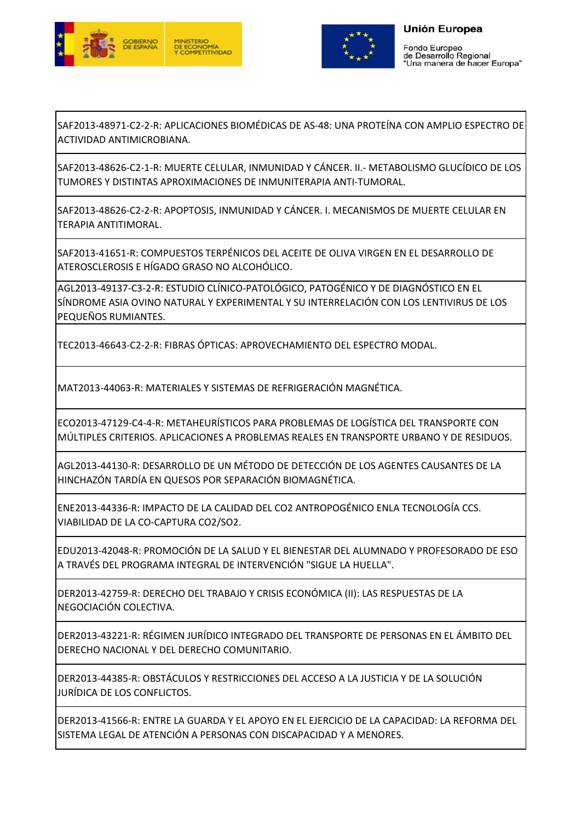



SAF2013-48971-C2-2-R: APLICACIONES BIOMÉDICAS DE AS-48: UNA PROTEÍNA CON AMPLIO ESPECTRO DE ACTIVIDAD ANTIMICROBIANA.

SAF2013-48626-C2-1-R: MUERTE CELULAR, INMUNIDAD Y CÁNCER. II.- METABOLISMO GLUCÍDICO DE LOS TUMORES Y DISTINTAS APROXIMACIONES DE INMUNITERAPIA ANTI-TUMORAL.

SAF2013-48626-C2-2-R: APOPTOSIS, INMUNIDAD Y CÁNCER. I. MECANISMOS DE MUERTE CELULAR EN TERAPIA ANTITIMORAL.

SAF2013-41651-R: COMPUESTOS TERPÉNICOS DEL ACEITE DE OLIVA VIRGEN EN EL DESARROLLO DE ATEROSCLEROSIS E HÍGADO GRASO NO ALCOHÓLICO.

AGL2013-49137-C3-2-R: ESTUDIO CLÍNICO-PATOLÓGICO, PATOGÉNICO Y DE DIAGNÓSTICO EN EL SÍNDROME ASIA OVINO NATURAL Y EXPERIMENTAL Y SU INTERRELACIÓN CON LOS LENTIVIRUS DE LOS PEQUEÑOS RUMIANTES.

TEC2013-46643-C2-2-R: FIBRAS ÓPTICAS: APROVECHAMIENTO DEL ESPECTRO MODAL.

MAT2013-44063-R: MATERIALES Y SISTEMAS DE REFRIGERACIÓN MAGNÉTICA.

ECO2013-47129-C4-4-R: METAHEURÍSTICOS PARA PROBLEMAS DE LOGÍSTICA DEL TRANSPORTE CON MÚLTIPLES CRITERIOS. APLICACIONES A PROBLEMAS REALES EN TRANSPORTE URBANO Y DE RESIDUOS.

AGL2013-44130-R: DESARROLLO DE UN MÉTODO DE DETECCIÓN DE LOS AGENTES CAUSANTES DE LA HINCHAZÓN TARDÍA EN QUESOS POR SEPARACIÓN BIOMAGNÉTICA.

ENE2013-44336-R: IMPACTO DE LA CALIDAD DEL CO2 ANTROPOGÉNICO ENLA TECNOLOGÍA CCS. VIABILIDAD DE LA CO-CAPTURA CO2/SO2.

EDU2013-42048-R: PROMOCIÓN DE LA SALUD Y EL BIENESTAR DEL ALUMNADO Y PROFESORADO DE ESO A TRAVÉS DEL PROGRAMA INTEGRAL DE INTERVENCIÓN "SIGUE LA HUELLA".

DER2013-42759-R: DERECHO DEL TRABAJO Y CRISIS ECONÓMICA (II): LAS RESPUESTAS DE LA NEGOCIACIÓN COLECTIVA.

DER2013-43221-R: RÉGIMEN JURÍDICO INTEGRADO DEL TRANSPORTE DE PERSONAS EN EL ÁMBITO DEL DERECHO NACIONAL Y DEL DERECHO COMUNITARIO.

DER2013-44385-R: OBSTÁCULOS Y RESTRICCIONES DEL ACCESO A LA JUSTICIA Y DE LA SOLUCIÓN JURÍDICA DE LOS CONFLICTOS.

DER2013-41566-R: ENTRE LA GUARDA Y EL APOYO EN EL EJERCICIO DE LA CAPACIDAD: LA REFORMA DEL SISTEMA LEGAL DE ATENCIÓN A PERSONAS CON DISCAPACIDAD Y A MENORES.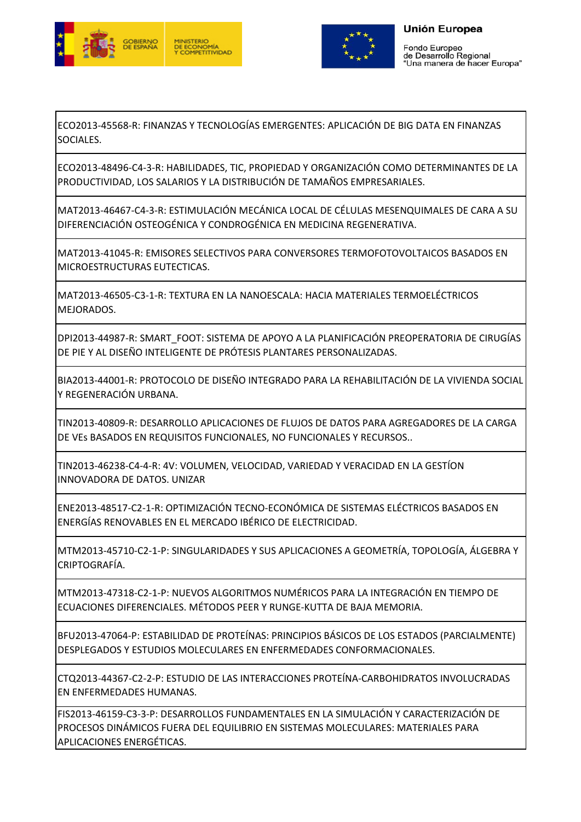



ECO2013-45568-R: FINANZAS Y TECNOLOGÍAS EMERGENTES: APLICACIÓN DE BIG DATA EN FINANZAS SOCIALES.

ECO2013-48496-C4-3-R: HABILIDADES, TIC, PROPIEDAD Y ORGANIZACIÓN COMO DETERMINANTES DE LA PRODUCTIVIDAD, LOS SALARIOS Y LA DISTRIBUCIÓN DE TAMAÑOS EMPRESARIALES.

MAT2013-46467-C4-3-R: ESTIMULACIÓN MECÁNICA LOCAL DE CÉLULAS MESENQUIMALES DE CARA A SU DIFERENCIACIÓN OSTEOGÉNICA Y CONDROGÉNICA EN MEDICINA REGENERATIVA.

MAT2013-41045-R: EMISORES SELECTIVOS PARA CONVERSORES TERMOFOTOVOLTAICOS BASADOS EN MICROESTRUCTURAS EUTECTICAS.

MAT2013-46505-C3-1-R: TEXTURA EN LA NANOESCALA: HACIA MATERIALES TERMOELÉCTRICOS MEJORADOS.

DPI2013-44987-R: SMART\_FOOT: SISTEMA DE APOYO A LA PLANIFICACIÓN PREOPERATORIA DE CIRUGÍAS DE PIE Y AL DISEÑO INTELIGENTE DE PRÓTESIS PLANTARES PERSONALIZADAS.

BIA2013-44001-R: PROTOCOLO DE DISEÑO INTEGRADO PARA LA REHABILITACIÓN DE LA VIVIENDA SOCIAL Y REGENERACIÓN URBANA.

TIN2013-40809-R: DESARROLLO APLICACIONES DE FLUJOS DE DATOS PARA AGREGADORES DE LA CARGA DE VEs BASADOS EN REQUISITOS FUNCIONALES, NO FUNCIONALES Y RECURSOS..

TIN2013-46238-C4-4-R: 4V: VOLUMEN, VELOCIDAD, VARIEDAD Y VERACIDAD EN LA GESTÍON INNOVADORA DE DATOS. UNIZAR

ENE2013-48517-C2-1-R: OPTIMIZACIÓN TECNO-ECONÓMICA DE SISTEMAS ELÉCTRICOS BASADOS EN ENERGÍAS RENOVABLES EN EL MERCADO IBÉRICO DE ELECTRICIDAD.

MTM2013-45710-C2-1-P: SINGULARIDADES Y SUS APLICACIONES A GEOMETRÍA, TOPOLOGÍA, ÁLGEBRA Y CRIPTOGRAFÍA.

MTM2013-47318-C2-1-P: NUEVOS ALGORITMOS NUMÉRICOS PARA LA INTEGRACIÓN EN TIEMPO DE ECUACIONES DIFERENCIALES. MÉTODOS PEER Y RUNGE-KUTTA DE BAJA MEMORIA.

BFU2013-47064-P: ESTABILIDAD DE PROTEÍNAS: PRINCIPIOS BÁSICOS DE LOS ESTADOS (PARCIALMENTE) DESPLEGADOS Y ESTUDIOS MOLECULARES EN ENFERMEDADES CONFORMACIONALES.

CTQ2013-44367-C2-2-P: ESTUDIO DE LAS INTERACCIONES PROTEÍNA-CARBOHIDRATOS INVOLUCRADAS EN ENFERMEDADES HUMANAS.

FIS2013-46159-C3-3-P: DESARROLLOS FUNDAMENTALES EN LA SIMULACIÓN Y CARACTERIZACIÓN DE PROCESOS DINÁMICOS FUERA DEL EQUILIBRIO EN SISTEMAS MOLECULARES: MATERIALES PARA APLICACIONES ENERGÉTICAS.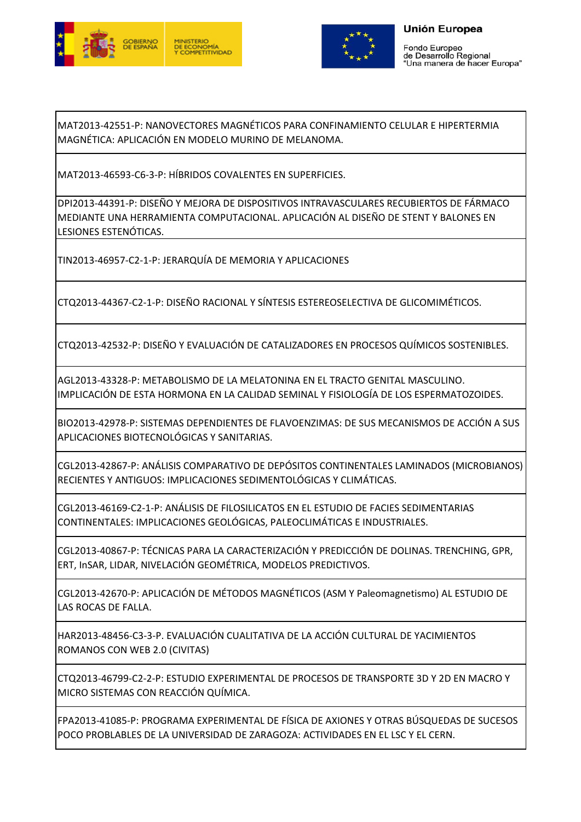



MAT2013-42551-P: NANOVECTORES MAGNÉTICOS PARA CONFINAMIENTO CELULAR E HIPERTERMIA MAGNÉTICA: APLICACIÓN EN MODELO MURINO DE MELANOMA.

MAT2013-46593-C6-3-P: HÍBRIDOS COVALENTES EN SUPERFICIES.

DPI2013-44391-P: DISEÑO Y MEJORA DE DISPOSITIVOS INTRAVASCULARES RECUBIERTOS DE FÁRMACO MEDIANTE UNA HERRAMIENTA COMPUTACIONAL. APLICACIÓN AL DISEÑO DE STENT Y BALONES EN LESIONES ESTENÓTICAS.

TIN2013-46957-C2-1-P: JERARQUÍA DE MEMORIA Y APLICACIONES

CTQ2013-44367-C2-1-P: DISEÑO RACIONAL Y SÍNTESIS ESTEREOSELECTIVA DE GLICOMIMÉTICOS.

CTQ2013-42532-P: DISEÑO Y EVALUACIÓN DE CATALIZADORES EN PROCESOS QUÍMICOS SOSTENIBLES.

AGL2013-43328-P: METABOLISMO DE LA MELATONINA EN EL TRACTO GENITAL MASCULINO. IMPLICACIÓN DE ESTA HORMONA EN LA CALIDAD SEMINAL Y FISIOLOGÍA DE LOS ESPERMATOZOIDES.

BIO2013-42978-P: SISTEMAS DEPENDIENTES DE FLAVOENZIMAS: DE SUS MECANISMOS DE ACCIÓN A SUS APLICACIONES BIOTECNOLÓGICAS Y SANITARIAS.

CGL2013-42867-P: ANÁLISIS COMPARATIVO DE DEPÓSITOS CONTINENTALES LAMINADOS (MICROBIANOS) RECIENTES Y ANTIGUOS: IMPLICACIONES SEDIMENTOLÓGICAS Y CLIMÁTICAS.

CGL2013-46169-C2-1-P: ANÁLISIS DE FILOSILICATOS EN EL ESTUDIO DE FACIES SEDIMENTARIAS CONTINENTALES: IMPLICACIONES GEOLÓGICAS, PALEOCLIMÁTICAS E INDUSTRIALES.

CGL2013-40867-P: TÉCNICAS PARA LA CARACTERIZACIÓN Y PREDICCIÓN DE DOLINAS. TRENCHING, GPR, ERT, InSAR, LIDAR, NIVELACIÓN GEOMÉTRICA, MODELOS PREDICTIVOS.

CGL2013-42670-P: APLICACIÓN DE MÉTODOS MAGNÉTICOS (ASM Y Paleomagnetismo) AL ESTUDIO DE LAS ROCAS DE FALLA.

HAR2013-48456-C3-3-P. EVALUACIÓN CUALITATIVA DE LA ACCIÓN CULTURAL DE YACIMIENTOS ROMANOS CON WEB 2.0 (CIVITAS)

CTQ2013-46799-C2-2-P: ESTUDIO EXPERIMENTAL DE PROCESOS DE TRANSPORTE 3D Y 2D EN MACRO Y MICRO SISTEMAS CON REACCIÓN QUÍMICA.

FPA2013-41085-P: PROGRAMA EXPERIMENTAL DE FÍSICA DE AXIONES Y OTRAS BÚSQUEDAS DE SUCESOS POCO PROBLABLES DE LA UNIVERSIDAD DE ZARAGOZA: ACTIVIDADES EN EL LSC Y EL CERN.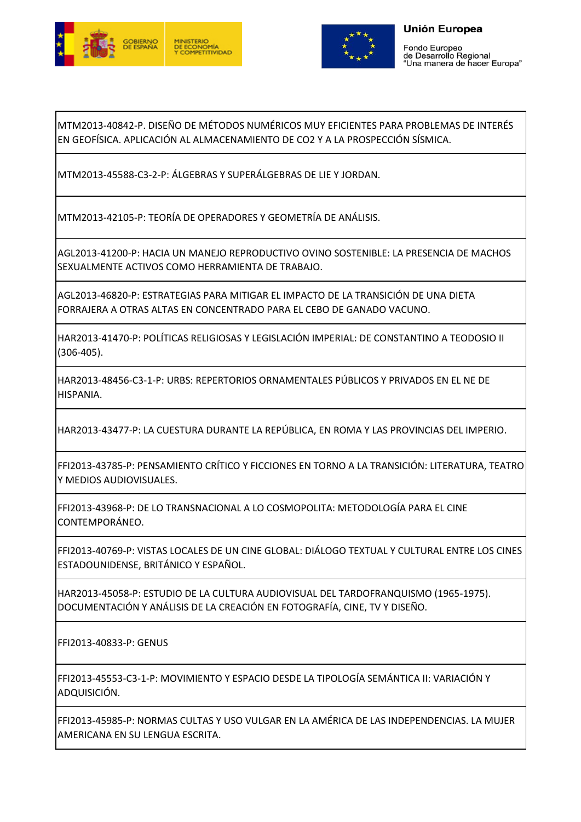



MTM2013-40842-P. DISEÑO DE MÉTODOS NUMÉRICOS MUY EFICIENTES PARA PROBLEMAS DE INTERÉS EN GEOFÍSICA. APLICACIÓN AL ALMACENAMIENTO DE CO2 Y A LA PROSPECCIÓN SÍSMICA.

MTM2013-45588-C3-2-P: ÁLGEBRAS Y SUPERÁLGEBRAS DE LIE Y JORDAN.

MTM2013-42105-P: TEORÍA DE OPERADORES Y GEOMETRÍA DE ANÁLISIS.

AGL2013-41200-P: HACIA UN MANEJO REPRODUCTIVO OVINO SOSTENIBLE: LA PRESENCIA DE MACHOS SEXUALMENTE ACTIVOS COMO HERRAMIENTA DE TRABAJO.

AGL2013-46820-P: ESTRATEGIAS PARA MITIGAR EL IMPACTO DE LA TRANSICIÓN DE UNA DIETA FORRAJERA A OTRAS ALTAS EN CONCENTRADO PARA EL CEBO DE GANADO VACUNO.

HAR2013-41470-P: POLÍTICAS RELIGIOSAS Y LEGISLACIÓN IMPERIAL: DE CONSTANTINO A TEODOSIO II (306-405).

HAR2013-48456-C3-1-P: URBS: REPERTORIOS ORNAMENTALES PÚBLICOS Y PRIVADOS EN EL NE DE HISPANIA.

HAR2013-43477-P: LA CUESTURA DURANTE LA REPÚBLICA, EN ROMA Y LAS PROVINCIAS DEL IMPERIO.

FFI2013-43785-P: PENSAMIENTO CRÍTICO Y FICCIONES EN TORNO A LA TRANSICIÓN: LITERATURA, TEATRO Y MEDIOS AUDIOVISUALES.

FFI2013-43968-P: DE LO TRANSNACIONAL A LO COSMOPOLITA: METODOLOGÍA PARA EL CINE CONTEMPORÁNEO.

FFI2013-40769-P: VISTAS LOCALES DE UN CINE GLOBAL: DIÁLOGO TEXTUAL Y CULTURAL ENTRE LOS CINES ESTADOUNIDENSE, BRITÁNICO Y ESPAÑOL.

HAR2013-45058-P: ESTUDIO DE LA CULTURA AUDIOVISUAL DEL TARDOFRANQUISMO (1965-1975). DOCUMENTACIÓN Y ANÁLISIS DE LA CREACIÓN EN FOTOGRAFÍA, CINE, TV Y DISEÑO.

FFI2013-40833-P: GENUS

FFI2013-45553-C3-1-P: MOVIMIENTO Y ESPACIO DESDE LA TIPOLOGÍA SEMÁNTICA II: VARIACIÓN Y ADQUISICIÓN.

FFI2013-45985-P: NORMAS CULTAS Y USO VULGAR EN LA AMÉRICA DE LAS INDEPENDENCIAS. LA MUJER AMERICANA EN SU LENGUA ESCRITA.